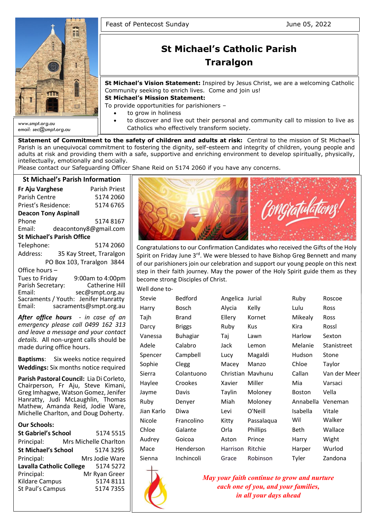

# **St Michael's Catholic Parish Traralgon**

**St Michael's Vision Statement:** Inspired by Jesus Christ, we are a welcoming Catholic Community seeking to enrich lives. Come and join us!

**St Michael's Mission Statement:**

To provide opportunities for parishioners –

- to grow in holiness
- to discover and live out their personal and community call to mission to live as Catholics who effectively transform society.

**Statement of Commitment to the safety of children and adults at risk:** Central to the mission of St Michael's Parish is an unequivocal commitment to fostering the dignity, self-esteem and integrity of children, young people and adults at risk and providing them with a safe, supportive and enriching environment to develop spiritually, physically, intellectually, emotionally and socially.

Please contact our Safeguarding Officer Shane Reid on 5174 2060 if you have any concerns.

# **St Michael's Parish Information**

| Fr Aju Varghese                      |  |  | Parish Priest              |  |  |
|--------------------------------------|--|--|----------------------------|--|--|
| Parish Centre                        |  |  | 5174 2060                  |  |  |
| Priest's Residence:                  |  |  | 5174 6765                  |  |  |
| <b>Deacon Tony Aspinall</b>          |  |  |                            |  |  |
| Phone                                |  |  | 51748167                   |  |  |
| Email:                               |  |  | deacontony8@gmail.com      |  |  |
| <b>St Michael's Parish Office</b>    |  |  |                            |  |  |
| Telephone:                           |  |  | 5174 2060                  |  |  |
| Address:                             |  |  | 35 Kay Street, Traralgon   |  |  |
|                                      |  |  | PO Box 103, Traralgon 3844 |  |  |
| Office hours -                       |  |  |                            |  |  |
| Tues to Friday                       |  |  | 9:00am to 4:00pm           |  |  |
| Parish Secretary:                    |  |  | <b>Catherine Hill</b>      |  |  |
| Email:                               |  |  | sec@smpt.org.au            |  |  |
| Sacraments / Youth: Jenifer Hanratty |  |  |                            |  |  |
| Email:                               |  |  | sacraments@smpt.org.au     |  |  |

*After office hours - in case of an emergency please call 0499 162 313 and leave a message and your contact details.* All non-urgent calls should be made during office hours.

**Baptisms**: Six weeks notice required **Weddings:** Six months notice required

**Parish Pastoral Council:** Lia Di Corleto, Chairperson, Fr Aju, Steve Kimani, Greg Imhagwe, Watson Gomez, Jenifer Hanratty, Judi McLaughlin, Thomas Mathew, Amanda Reid, Jodie Ware, Michelle Charlton, and Doug Doherty.

#### **Our Schools:**

| <b>St Gabriel's School</b> | 5174 5515             |
|----------------------------|-----------------------|
| Principal:                 | Mrs Michelle Charlton |
| <b>St Michael's School</b> | 5174 3295             |
| Principal:                 | Mrs Jodie Ware        |
| Lavalla Catholic College   | 5174 5272             |
| Principal:                 | Mr Ryan Greer         |
| <b>Kildare Campus</b>      | 51748111              |
| St Paul's Campus           | 5174 7355             |



Congratulations to our Confirmation Candidates who received the Gifts of the Holy Spirit on Friday June 3<sup>rd</sup>. We were blessed to have Bishop Greg Bennett and many of our parishioners join our celebration and support our young people on this next step in their faith journey. May the power of the Holy Spirit guide them as they become strong Disciples of Christ.

Well done to-

| Stevie     | <b>Bedford</b>  | Angelica | Jurial            | Ruby          | Roscoe       |
|------------|-----------------|----------|-------------------|---------------|--------------|
| Harry      | Bosch           | Alycia   | Kelly             | Lulu          | Ross         |
| Tajh       | <b>Brand</b>    | Ellery   | Kornet            | Mikealy       | <b>Ross</b>  |
| Darcy      | <b>Briggs</b>   | Ruby     | Kus               | Kira          | Rossl        |
| Vanessa    | <b>Buhagiar</b> | Taj      | Lawn              | Harlow        | Sexton       |
| Adele      | Calabro         | Jack     | Lemon             | Melanie       | Stanistreet  |
| Spencer    | Campbell        | Lucy     | Magaldi           | Hudson        | Stone        |
| Sophie     | Clegg           | Macey    | Manzo             | Chloe         | Taylor       |
| Sierra     | Colantuono      |          | Christian Mayhunu | Callan        | Van der Meer |
| Haylee     | Crookes         | Xavier   | Miller            | Mia           | Varsaci      |
| Jayme      | Davis           | Taylin   | Moloney           | <b>Boston</b> | Vella        |
| Ruby       | Denyer          | Miah     | Moloney           | Annabella     | Veneman      |
| Jian Karlo | Diwa            | Levi     | O'Neill           | Isabella      | Vitale       |
| Nicole     | Francolino      | Kitty    | Passalaqua        | Wil           | Walker       |
| Chloe      | Galante         | Orla     | Phillips          | Beth          | Wallace      |
| Audrey     | Goicoa          | Aston    | Prince            | Harry         | Wight        |
| Mace       | Henderson       | Harrison | Ritchie           | Harper        | Wurlod       |
| Sienna     | Inchincoli      | Grace    | Robinson          | Tyler         | Zandona      |



*May your faith continue to grow and nurture each one of you, and your families, in all your days ahead*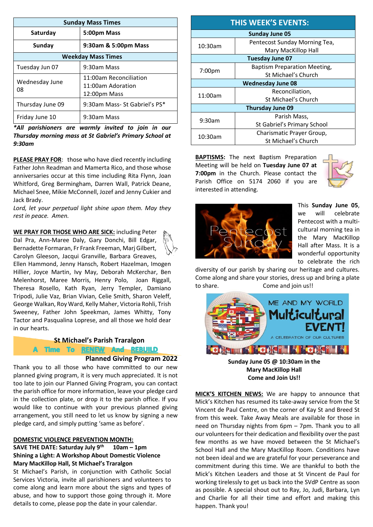| <b>Sunday Mass Times</b>       |                                                             |  |  |
|--------------------------------|-------------------------------------------------------------|--|--|
| Saturday                       | 5:00pm Mass                                                 |  |  |
| 9:30am & 5:00pm Mass<br>Sunday |                                                             |  |  |
| <b>Weekday Mass Times</b>      |                                                             |  |  |
| Tuesday Jun 07                 | 9:30am Mass                                                 |  |  |
| Wednesday June<br>08           | 11:00am Reconciliation<br>11:00am Adoration<br>12:00pm Mass |  |  |
| Thursday June 09               | 9:30am Mass- St Gabriel's PS*                               |  |  |
| Friday June 10                 | 9:30am Mass                                                 |  |  |

*\*All parishioners are warmly invited to join in our Thursday morning mass at St Gabriel's Primary School at 9:30am*

**PLEASE PRAY FOR**: those who have died recently including Father John Readman and Mamerta Rico, and those whose anniversaries occur at this time including Rita Flynn, Joan Whitford, Greg Bermingham, Darren Wall, Patrick Deane, Michael Snee, Mikie McConnell, Jozef and Jenny Cukier and Jack Brady.

*Lord, let your perpetual light shine upon them. May they rest in peace. Amen.*

**WE PRAY FOR THOSE WHO ARE SICK:** including Peter Dal Pra, Ann-Maree Daly, Gary Donchi, Bill Edgar, Bernadette Formaran, Fr Frank Freeman, Marj Gilbert, Carolyn Gleeson, Jacqui Granville, Barbara Greaves, Ellen Hammond, Jenny Hansch, Robert Hazelman, Imogen Hillier, Joyce Martin, Ivy May, Deborah McKerchar, Ben Melenhorst, Maree Morris, Henry Polo, Joan Riggall, Theresa Rosello, Kath Ryan, Jerry Templer, Damiano Tripodi, Julie Vaz, Brian Vivian, Celie Smith, Sharon Veleff, George Walkan, Roy Ward, Kelly Maher, Victoria Rohli, Trish Sweeney, Father John Speekman, James Whitty, Tony Tactor and Pasqualina Loprese, and all those we hold dear in our hearts.

# **St Michael's Parish Traralgon**

A Time To RENEW And REBUILD

#### **Planned Giving Program 2022**

Thank you to all those who have committed to our new planned giving program, it is very much appreciated. It is not too late to join our Planned Giving Program, you can contact the parish office for more information, leave your pledge card in the collection plate, or drop it to the parish office. If you would like to continue with your previous planned giving arrangement, you still need to let us know by signing a new pledge card, and simply putting 'same as before'.

#### **DOMESTIC VIOLENCE PREVENTION MONTH:**

#### **SAVE THE DATE: Saturday July 9th 10am – 1pm Shining a Light: A Workshop About Domestic Violence Mary MacKillop Hall, St Michael's Traralgon**

St Michael's Parish, in conjunction with Catholic Social Services Victoria, invite all parishioners and volunteers to come along and learn more about the signs and types of abuse, and how to support those going through it. More details to come, please pop the date in your calendar.

| <b>THIS WEEK'S EVENTS:</b> |                                     |  |  |  |  |
|----------------------------|-------------------------------------|--|--|--|--|
| <b>Sunday June 05</b>      |                                     |  |  |  |  |
| 10:30am                    | Pentecost Sunday Morning Tea,       |  |  |  |  |
|                            | Mary MacKillop Hall                 |  |  |  |  |
| Tuesday June 07            |                                     |  |  |  |  |
| 7:00pm                     | <b>Baptism Preparation Meeting,</b> |  |  |  |  |
|                            | St Michael's Church                 |  |  |  |  |
|                            | <b>Wednesday June 08</b>            |  |  |  |  |
| 11:00am                    | Reconciliation,                     |  |  |  |  |
|                            | St Michael's Church                 |  |  |  |  |
| <b>Thursday June 09</b>    |                                     |  |  |  |  |
| 9:30am                     | Parish Mass,                        |  |  |  |  |
|                            | St Gabriel's Primary School         |  |  |  |  |
| 10:30am                    | Charismatic Prayer Group,           |  |  |  |  |
|                            | St Michael's Church                 |  |  |  |  |

**BAPTISMS:** The next Baptism Preparation Meeting will be held on **Tuesday June 07 at 7:00pm** in the Church. Please contact the Parish Office on 5174 2060 if you are interested in attending.





This **Sunday June 05**, we will celebrate Pentecost with a multicultural morning tea in the Mary MacKillop Hall after Mass. It is a wonderful opportunity to celebrate the rich

diversity of our parish by sharing our heritage and cultures. Come along and share your stories, dress up and bring a plate to share. Come and join us!!



**Sunday June 05 @ 10:30am in the Mary MacKillop Hall Come and Join Us!!**

**MICK'S KITCHEN NEWS:** We are happy to announce that Mick's Kitchen has resumed its take-away service from the St Vincent de Paul Centre, on the corner of Kay St and Breed St from this week. Take Away Meals are available for those in need on Thursday nights from 6pm – 7pm. Thank you to all our volunteers for their dedication and flexibility over the past few months as we have moved between the St Michael's School Hall and the Mary MacKillop Room. Conditions have not been ideal and we are grateful for your perseverance and commitment during this time. We are thankful to both the Mick's Kitchen Leaders and those at St Vincent de Paul for working tirelessly to get us back into the SVdP Centre as soon as possible. A special shout out to Ray, Jo, Judi, Barbara, Lyn and Charlie for all their time and effort and making this happen. Thank you!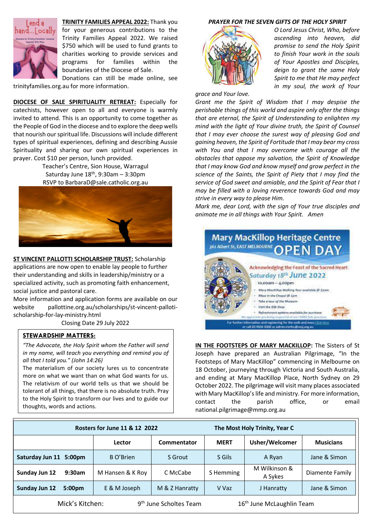

**TRINITY FAMILIES APPEAL 2022:** Thank you for your generous contributions to the Trinity Families Appeal 2022. We raised \$750 which will be used to fund grants to charities working to provide services and programs for families within the boundaries of the Diocese of Sale.

Donations can still be made online, see trinityfamilies.org.au for more information.

**DIOCESE OF SALE SPIRITUALITY RETREAT:** Especially for catechists, however open to all and everyone is warmly invited to attend. This is an opportunity to come together as the People of God in the diocese and to explore the deep wells that nourish our spiritual life. Discussions will include different types of spiritual experiences, defining and describing Aussie Spirituality and sharing our own spiritual experiences in prayer. Cost \$10 per person, lunch provided.

> Teacher's Centre, Sion House, Warragul Saturday June  $18<sup>th</sup>$ , 9:30am - 3:30pm RSVP to [BarbaraD@sale.catholic.org.au](mailto:BarbaraD@sale.catholic.org.au)



**ST VINCENT PALLOTTI SCHOLARSHIP TRUST:** Scholarship applications are now open to enable lay people to further their understanding and skills in leadership/ministry or a specialized activity, such as promoting faith enhancement, social justice and pastoral care.

More information and application forms are available on our website pallottine.org.au/scholarships/st-vincent-pallotischolarship-for-lay-ministry.html

Closing Date 29 July 2022

# **STEWARDSHIP MATTERS:**

*"The Advocate, the Holy Spirit whom the Father will send in my name, will teach you everything and remind you of all that I told you." (John 14:26)*

The materialism of our society lures us to concentrate more on what we want than on what God wants for us. The relativism of our world tells us that we should be tolerant of all things, that there is no absolute truth. Pray to the Holy Spirit to transform our lives and to guide our thoughts, words and actions.

#### *PRAYER FOR THE SEVEN GIFTS OF THE HOLY SPIRIT*



*grace and Your love.*

*O Lord Jesus Christ, Who, before ascending into heaven, did promise to send the Holy Spirit to finish Your work in the souls of Your Apostles and Disciples, deign to grant the same Holy Spirit to me that He may perfect in my soul, the work of Your* 

*Grant me the Spirit of Wisdom that I may despise the perishable things of this world and aspire only after the things that are eternal, the Spirit of Understanding to enlighten my mind with the light of Your divine truth, the Spirit of Counsel that I may ever choose the surest way of pleasing God and gaining heaven, the Spirit of Fortitude that I may bear my cross with You and that I may overcome with courage all the obstacles that oppose my salvation, the Spirit of Knowledge that I may know God and know myself and grow perfect in the science of the Saints, the Spirit of Piety that I may find the service of God sweet and amiable, and the Spirit of Fear that I may be filled with a loving reverence towards God and may strive in every way to please Him.* 

*Mark me, dear Lord, with the sign of Your true disciples and animate me in all things with Your Spirit. Amen*



**IN THE FOOTSTEPS OF MARY MACKILLOP:** The Sisters of St Joseph have prepared an Australian Pilgrimage, "In the Footsteps of Mary MacKillop" commencing in Melbourne on 18 October, journeying through Victoria and South Australia, and ending at Mary MacKillop Place, North Sydney on 29 October 2022. The pilgrimage will visit many places associated with Mary MacKillop's life and ministry. For more information, contact the parish office, or email [national.pilgrimage@mmp.org.au](mailto:national.pilgrimage@mmp.org.au)

| Rosters for June 11 & 12 2022                                                                  |                  |                | The Most Holy Trinity, Year C |                          |                  |
|------------------------------------------------------------------------------------------------|------------------|----------------|-------------------------------|--------------------------|------------------|
|                                                                                                | Lector           | Commentator    | <b>MERT</b>                   | Usher/Welcomer           | <b>Musicians</b> |
| Saturday Jun 11<br>5:00 <sub>pm</sub>                                                          | B O'Brien        | S Grout        | S Gils                        | A Ryan                   | Jane & Simon     |
| Sunday Jun 12<br>9:30am                                                                        | M Hansen & K Roy | C McCabe       | S Hemming                     | M Wilkinson &<br>A Sykes | Diamente Family  |
| Sunday Jun 12<br>5:00 <sub>pm</sub>                                                            | E & M Joseph     | M & Z Hanratty | V Vaz                         | J Hanratty               | Jane & Simon     |
| 16 <sup>th</sup> June McLaughlin Team<br>Mick's Kitchen:<br>9 <sup>th</sup> June Scholtes Team |                  |                |                               |                          |                  |